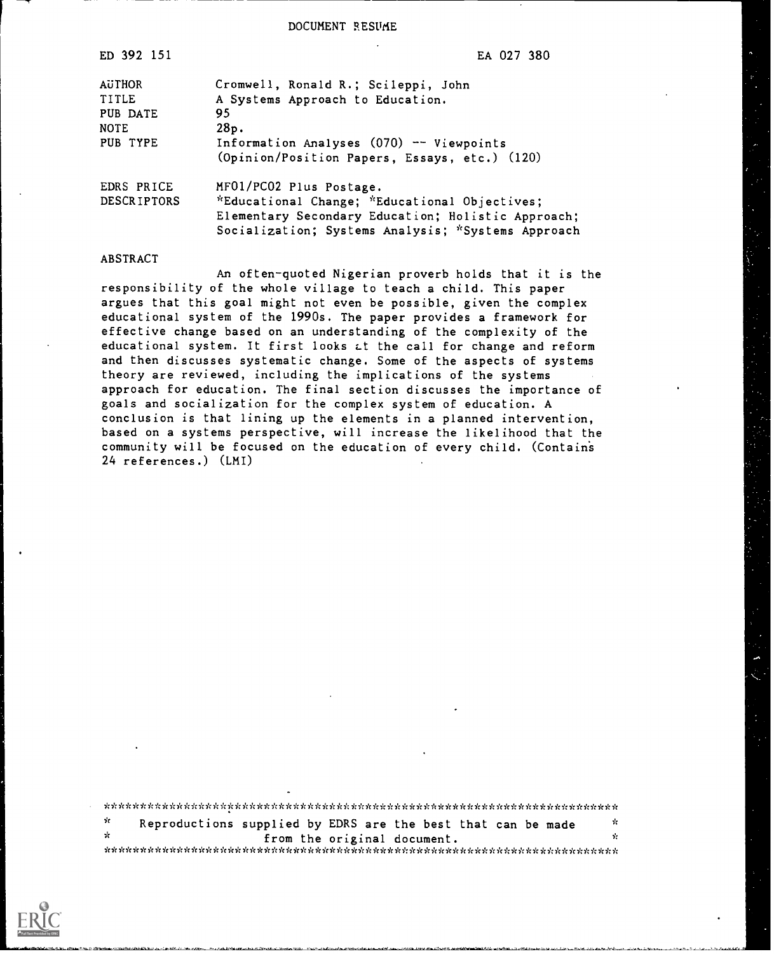DOCUMENT RESUME

| ED 392 151         | EA 027 380                                         |
|--------------------|----------------------------------------------------|
| AUTHOR             | Cromwell, Ronald R.; Scileppi, John                |
| TITLE              | A Systems Approach to Education.                   |
| PUB DATE           | 95                                                 |
| NOTE               | 28p.                                               |
| PUB TYPE           | Information Analyses $(070)$ -- Viewpoints         |
|                    | (Opinion/Position Papers, Essays, etc.) (120)      |
| EDRS PRICE         | MF01/PC02 Plus Postage.                            |
| <b>DESCRIPTORS</b> | *Educational Change; *Educational Objectives;      |
|                    | Elementary Secondary Education; Holistic Approach; |
|                    | Socialization; Systems Analysis; *Systems Approach |
|                    |                                                    |

### ABSTRACT

An often-quoted Nigerian proverb holds that it is the responsibility of the whole village to teach a child. This paper argues that this goal might not even be possible, given the complex educational system of the 1990s. The paper provides a framework for effective change based on an understanding of the complexity of the educational system. It first looks Lt the call for change and reform and then discusses systematic change. Some of the aspects of systems theory are reviewed, including the implications of the systems approach for education. The final section discusses the importance of goals and socialization for the complex system of education. A conclusion is that lining up the elements in a planned intervention, based on a systems perspective, will increase the likelihood that the community will be focused on the education of every child. (Contains 24 references.) (LMI)

\*\*\*\*\*\*\*\*\*\*\*i ,\*\*\*\*\*\*\*\*\*\*\*\*\*\*\*\*\*\*\*\*\*\*\*\*\*\*\*\*\*\*\*\*\*\*\*\*\*\*\*\*\*\*\*\*\*\*\*\*\*\*\*\*\*\*\*\* ń Reproductions supplied by EDRS are the best that can be made from the original document. \*\*\*\*\*\*\*\*\*\*\*\*\*\*\*\*\*\*\*\*\*\*\*\*\*\*\*\*\*\*\*\*\*\*\*\*\*\*\*\*\*\*\*\*\*\*\*\*\*\*\*\*\*\*\*\*\*\*\*\*\*\*\*\*\*\*\*\*\*\*\*

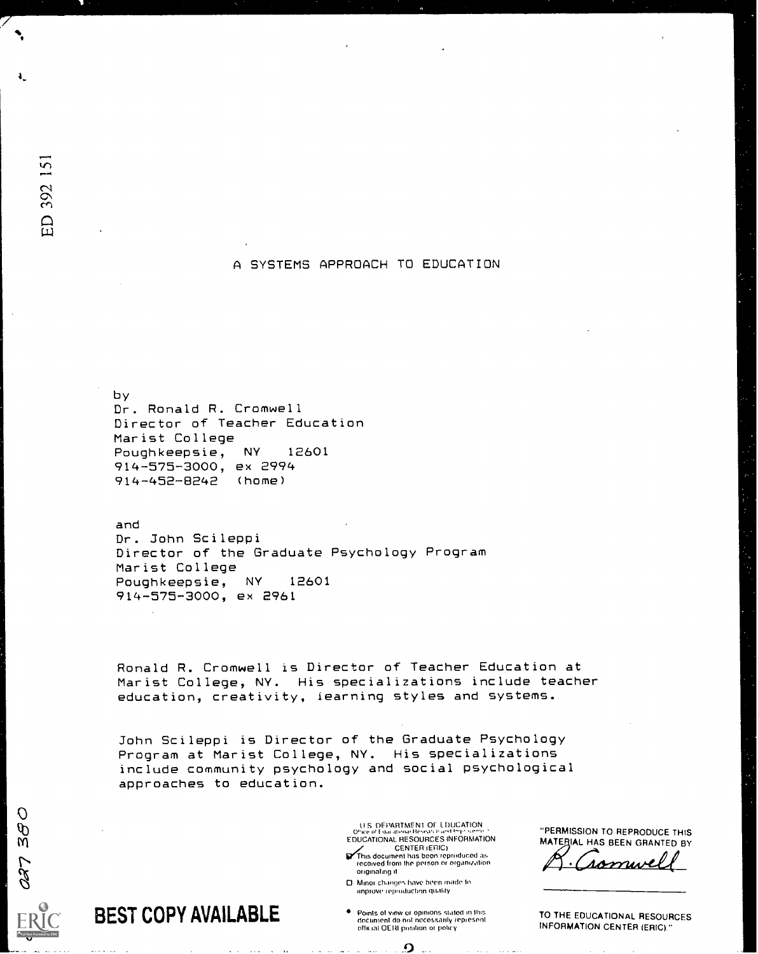### A SYSTEMS APPROACH TO EDUCATION

by Dr. Ronald R. Cromwell Director of Teacher Education Marist College<br>Poughkeepsie. NY 12601 Poughkeepsie, NY 914-575-3000, ex 2994 914-452-8242 (home)

and Dr. John Scileppi Director of the Graduate Psychology Program Marist College<br>Poughkeepsie, NY 12601 Poughkeepsie, NY 914-575-3000, ex 2961

Ronald R. Cromwell is Director of Teacher Education at Marist College, NY. His specializations include teacher education, creativity, iearning styles and systems.

John Scileppi is Director of the Graduate Psychology Program at Marist College, NY. His specializations include community psychology and social psychological approaches to education.

> S DEPARTMEN1 OT L DUCATION EDUCATIONAL RESOURCES INFORMATION CENTER (ERIC)<br>This document has been reproduced as<br>received from the person or organization originating it

0 Minor changes have been made to improve reproduction quality

Points ol view or opinions staled in this document do not necessaidy repiesent official OERI position or policy

 $\Omega$ 

"PERMISSION TO REPRODUCE THIS MATERIAL HAS BEEN GRANTED BY

romu

TO THE EDUCATIONAL RESOURCES INFORMATION CENTER (ERIC)"

ED 392 151

 $\breve{m}$ 

 $\mathcal{O}$  $\tilde{\theta}$ 

 $\omega$  and  $\omega$ 

Full Text Provided by ERIC

BEST COPY AVAILABLE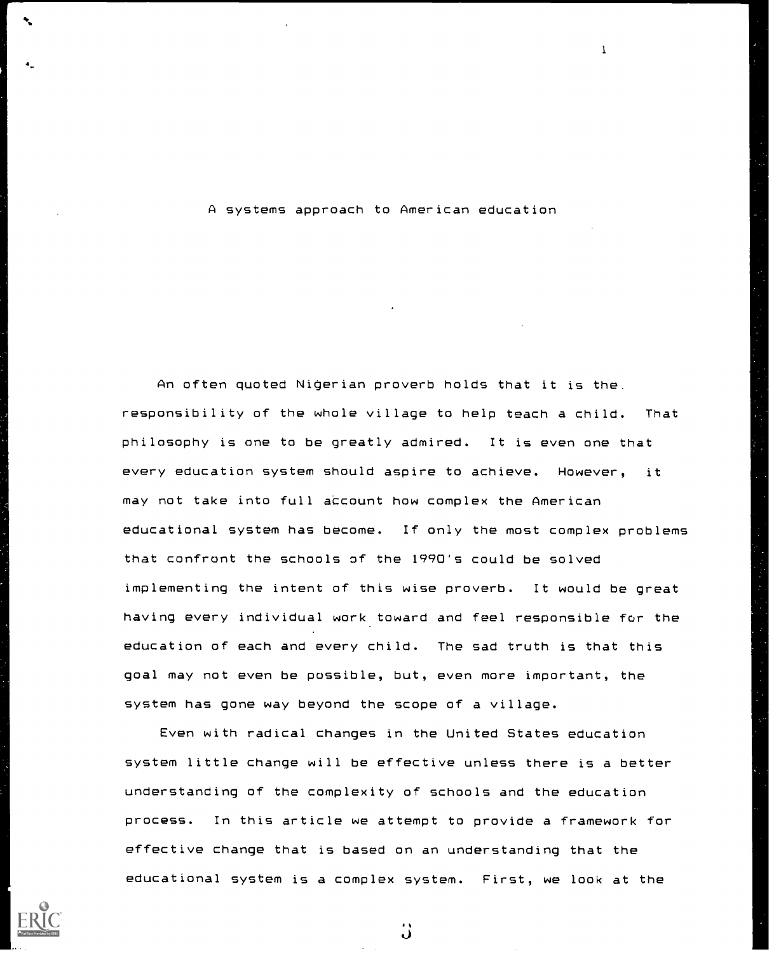#### A systems approach to American education

1

An often quoted Nigerian proverb holds that it is the. responsibility of the whole village to help teach a child. That philosophy is one to be greatly admired. It is even one that every education system should aspire to achieve. However, it may not take into full account how complex the American educational system has become. If only the most complex problems that confront the schools of the 1990's could be solved implementing the intent of this wise proverb. It would be great having every individual work.toward and feel responsible for the education of each and every child. The sad truth is that this goal may not even be possible, but, even more important, the system has gone way beyond the scope of a village.

Even with radical changes in the United States education system little change will be effective unless there is a better understanding of the complexity of schools and the education process. In this article we attempt to provide a framework for effective change that is based on an understanding that the educational system is a complex system. First, we look at the

 $\ddot{\bm{\omega}}$ 

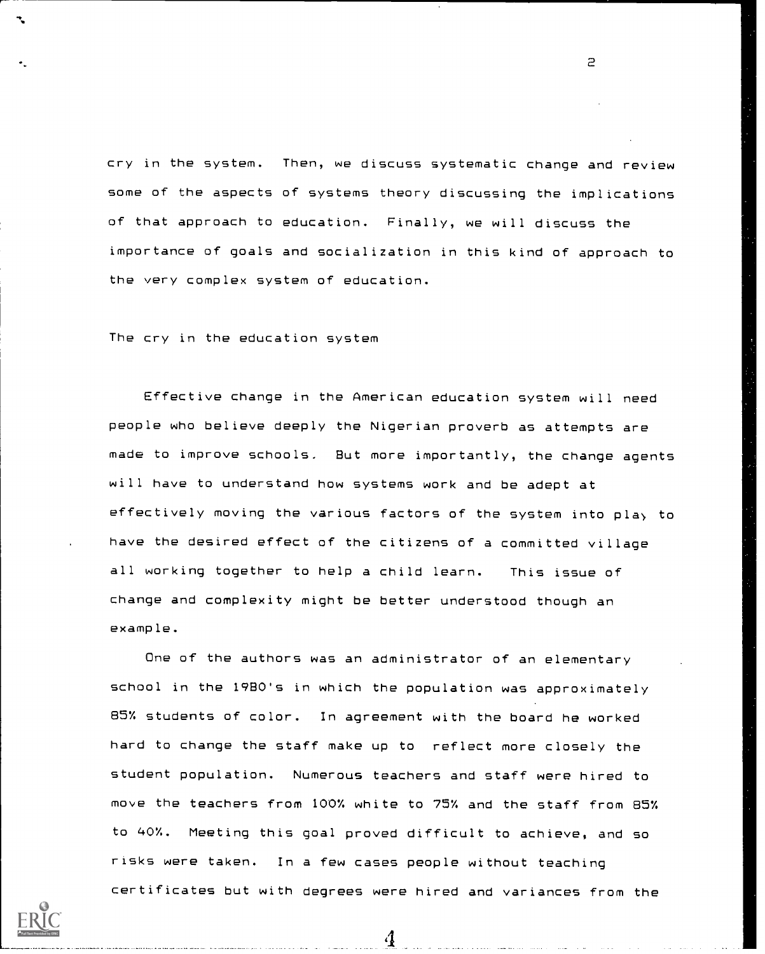cry in the system. Then, we discuss systematic change and review some of the aspects of systems theory discussing the implications of that approach to education. Finally, we will discuss the importance of goals and socialization in this kind of approach to the very complex system of education.

The cry in the education system

Effective change in the American education system will need people who believe deeply the Nigerian proverb as attempts are made to improve schools. But more importantly, the change agents will have to understand how systems work and be adept at effectively moving the various factors of the system into play to have the desired effect of the citizens of a committed village all working together to help a child learn. This issue of change and complexity might be better understood though an example.

One of the authors was an administrator of an elementary school in the 1980's in which the population was approximately 85% students of color. In agreement with the board he worked hard to change the staff make up to reflect more closely the student population. Numerous teachers and staff were hired to move the teachers from 100% white to 757. and the staff from 857. to 40%. Meeting this goal proved difficult to achieve, and so risks were taken. In a few cases people without teaching certificates but with degrees were hired and variances from the

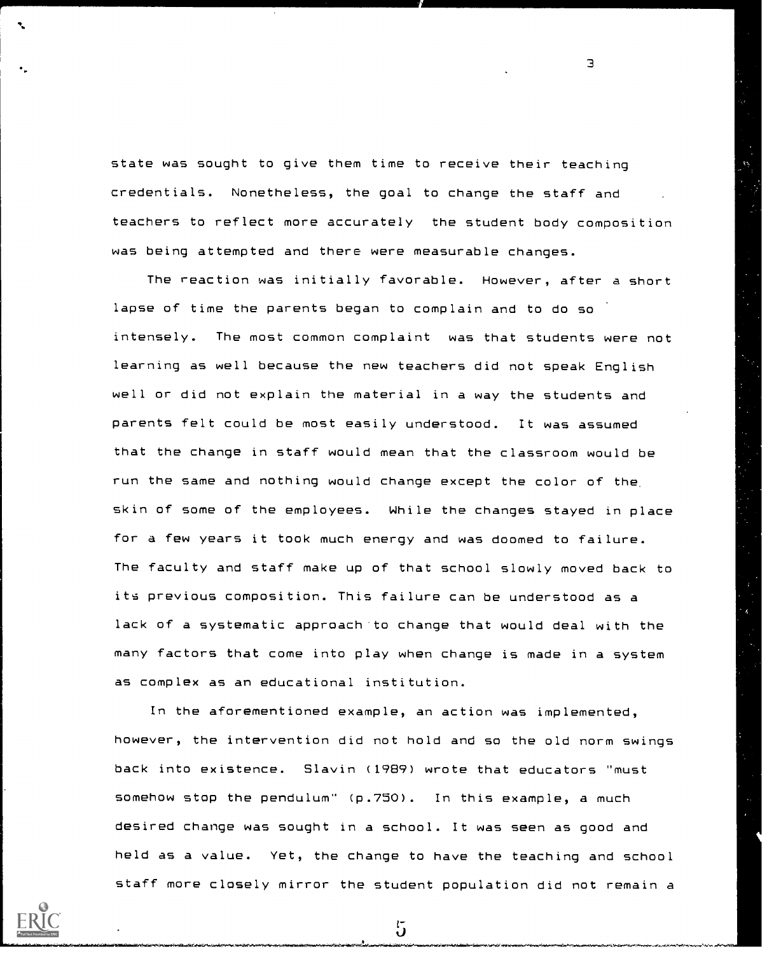state was sought to give them time to receive their teaching credentials. Nonetheless, the goal to change the staff and teachers to reflect more accurately the student body composition was being attempted and there were measurable changes.

3

The reaction was initially favorable. However, after a short lapse of time the parents began to complain and to do so intensely. The most common complaint was that students were not learning as well because the new teachers did not speak English well or did not explain the material in a way the students and parents felt could be most easily understood. It was assumed that the change in staff would mean that the classroom would be run the same and nothing would change except the color of the. skin of some of the employees. While the changes stayed in place for a few years it took much energy and was doomed to failure. The faculty and staff make up of that school slowly moved back to its previous composition. This failure can be understood as a lack of a systematic approach to change that would deal with the many factors that come into play when change is made in a system as complex as an educational institution.

In the aforementioned example, an action was implemented, however, the intervention did not hold and so the old norm swings back into existence. Slavin (1989) wrote that educators "must somehow stop the pendulum" (p.750). In this example, a much desired change was sought in a school. It was seen as good and held as a value. Yet, the change to have the teaching and school staff more closely mirror the student population did not remain a

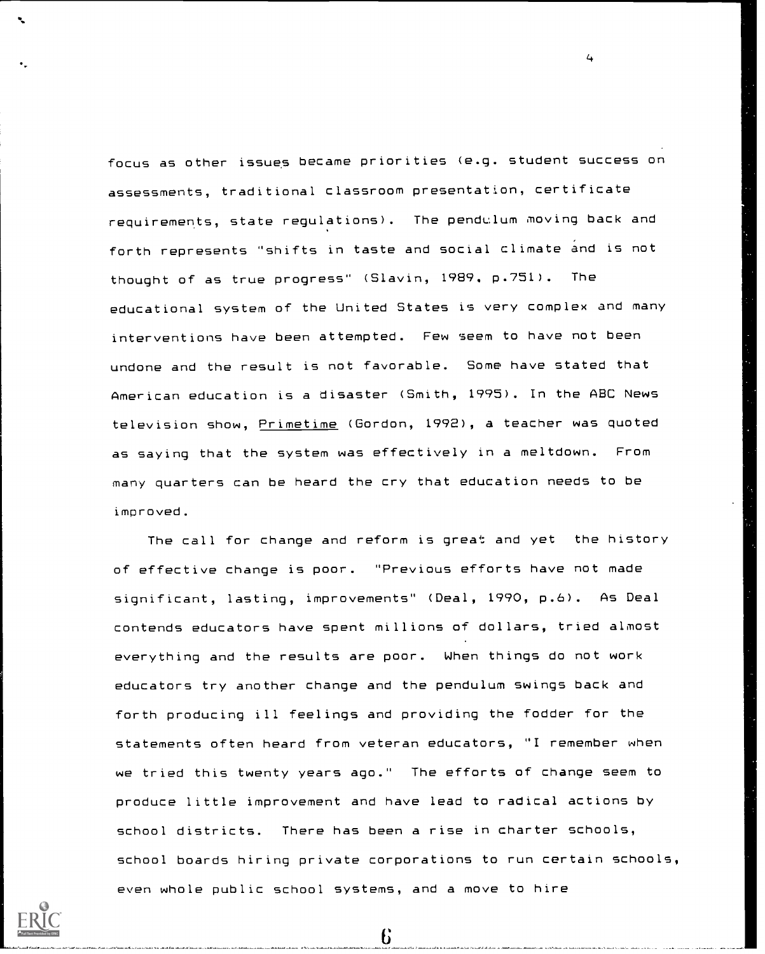focus as other issues became priorities (e.g. student success on assessments, traditional classroom presentation, certificate requirements, state regulations). The pendulum moving back and forth represents "shifts in taste and social climate and is not thought of as true progress" (Slavin, 1989. p.751). The educational system of the United States is very complex and many interventions have been attempted. Few seem to have not been undone and the result is not favorable. Some have stated that American education is a disaster (Smith, 1995). In the ABC News television show, Primetime (Gordon, 1992), a teacher was quoted as saying that the system was effectively in a meltdown. From many quarters can be heard the cry that education needs to be improved.

4

The call for change and reform is great and yet the history of effective change is poor. "Previous efforts have not made significant, lasting, improvements" (Deal, 1990, p.6). As Deal contends educators have spent millions of dollars, tried almost everything and the results are poor. When things do not work educators try another change and the pendulum swings back and forth producing ill feelings and providing the fodder for the statements often heard from veteran educators, "I remember when we tried this twenty years ago." The efforts of change seem to produce little improvement and have lead to radical actions by school districts. There has been a rise in charter schools, school boards hiring private corporations to run certain schools, even whole public school systems, and a move to hire

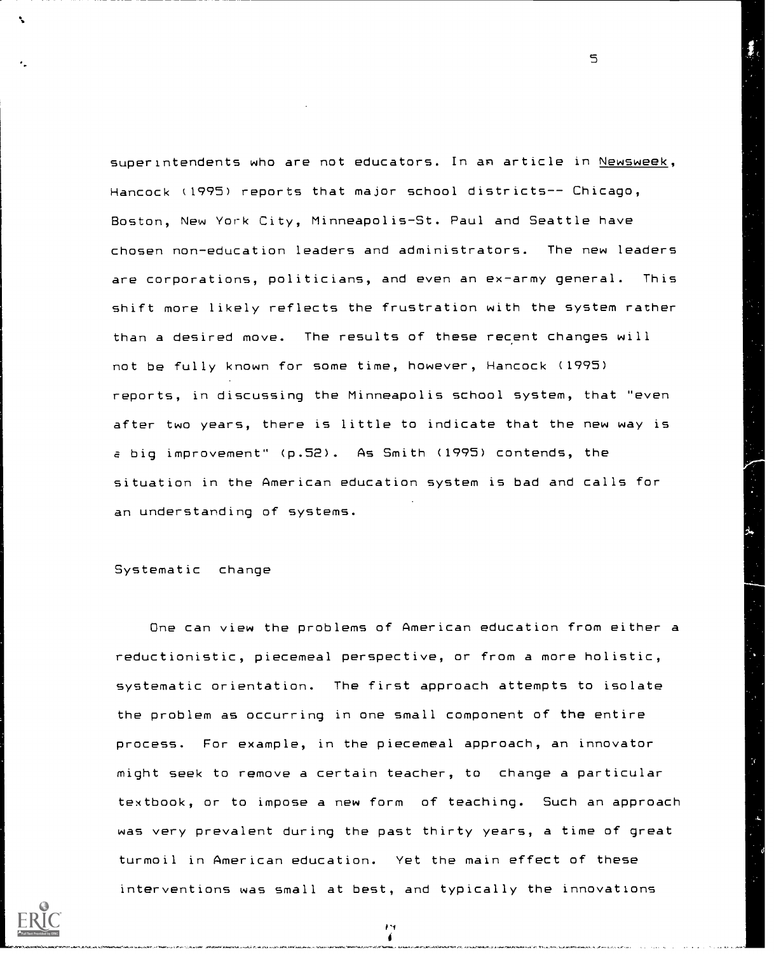superintendents who are not educators. In an article in Newsweek, Hancock (1995) reports that major school districts-- Chicago, Boston, New York City, Minneapolis-St. Paul and Seattle have chosen non-education leaders and administrators. The new leaders are corporations, politicians, and even an ex-army general. This shift more likely reflects the frustration with the system rather than a desired move. The results of these recent changes will not be fully known for some time, however, Hancock (1995) reports, in discussing the Minneapolis school system, that "even after two years, there is little to indicate that the new way is a big improvement" (p.52). As Smith (1995) contends, the situation in the American education system is bad and calls for an understanding of systems.

# Systematic change

One can view the problems of American education from either a reductionistic, piecemeal perspective, or from a more holistic, systematic orientation. The first approach attempts to isolate the problem as occurring in one small component of the entire process. For example, in the piecemeal approach, an innovator might seek to remove a certain teacher, to change a particular textbook, or to impose a new form of teaching. Such an approach was very prevalent during the past thirty years, a time of great turmoil in American education. Yet the main effect of these interventions was small at best, and typically the innovations

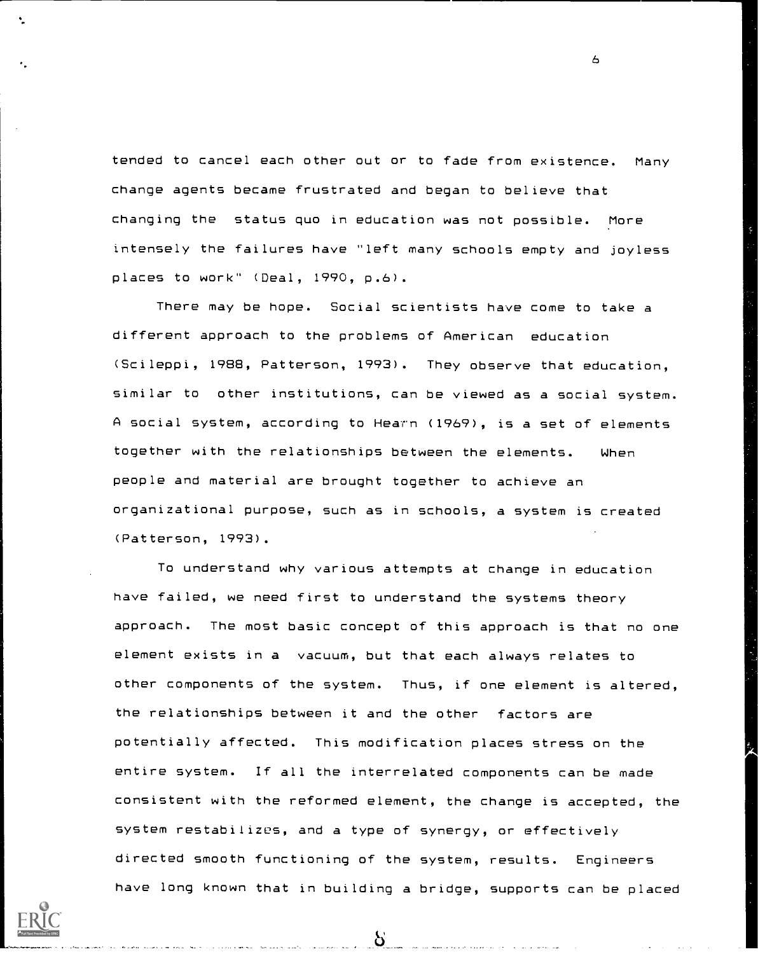tended to cancel each other out or to fade from existence. Many change agents became frustrated and began to believe that changing the status quo in education was not possible. More intensely the failures have "left many schools empty and joyless places to work" (Deal, 1990, p.6).

There may be hope. Social scientists have come to take a different approach to the problems of American education (Scileppi, 1988, Patterson, 1993). They observe that education, similar to other institutions, can be viewed as a social system. A social system, according to Hearn (1969), is a set of elements together with the relationships between the elements. When people and material are brought together to achieve an organizational purpose, such as in schools, a system is created (Patterson, 1993).

To understand why various attempts at change in education have failed, we need first to understand the systems theory approach. The most basic concept of this approach is that no one element exists in a vacuum, but that each always relates to other components of the system. Thus, if one element is altered, the relationships between it and the other factors are potentially affected. This modification places stress on the have long known that in building a bridge, supports can be placed entire system. If all the interrelated components can be made consistent with the reformed element, the change is accepted, the system restabilizes, and a type of synergy, or effectively directed smooth functioning of the system, results. Engineers

6

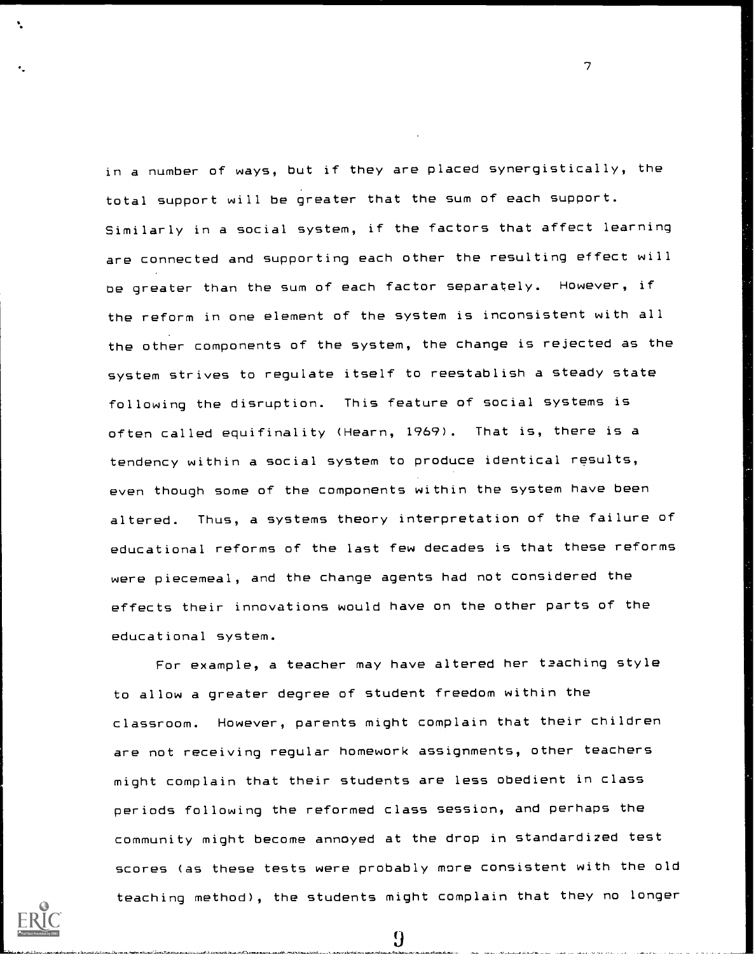in a number of ways, but if they are placed synergistically, the total support will be greater that the sum of each support. Similarly in a social system, if the factors that affect learning are connected and supporting each other the resulting effect will be greater than the sum of each factor separately. However, if the reform in one element of the system is inconsistent with all the other components of the system, the change is rejected as the system strives to regulate itself to reestablish a steady state following the disruption. This feature of social systems is often called equifinality (Hearn, 1969). That is, there is a tendency within a social system to produce identical results, even though some of the components within the system have been altered. Thus, a systems theory interpretation of the failure of educational reforms of the last few decades is that these reforms were piecemeal, and the change agents had not considered the effects their innovations would have on the other parts of the educational system.

7

For example, a teacher may have altered her teaching style to allow a greater degree of student freedom within the classroom. However, parents might complain that their children are not receiving regular homework assignments, other teachers might complain that their students are less obedient in class periods following the reformed class session, and perhaps the community might become annoyed at the drop in standardized test scores (as these tests were probably more consistent with the old teaching method), the students might complain that they no longer



 $\boldsymbol{9}$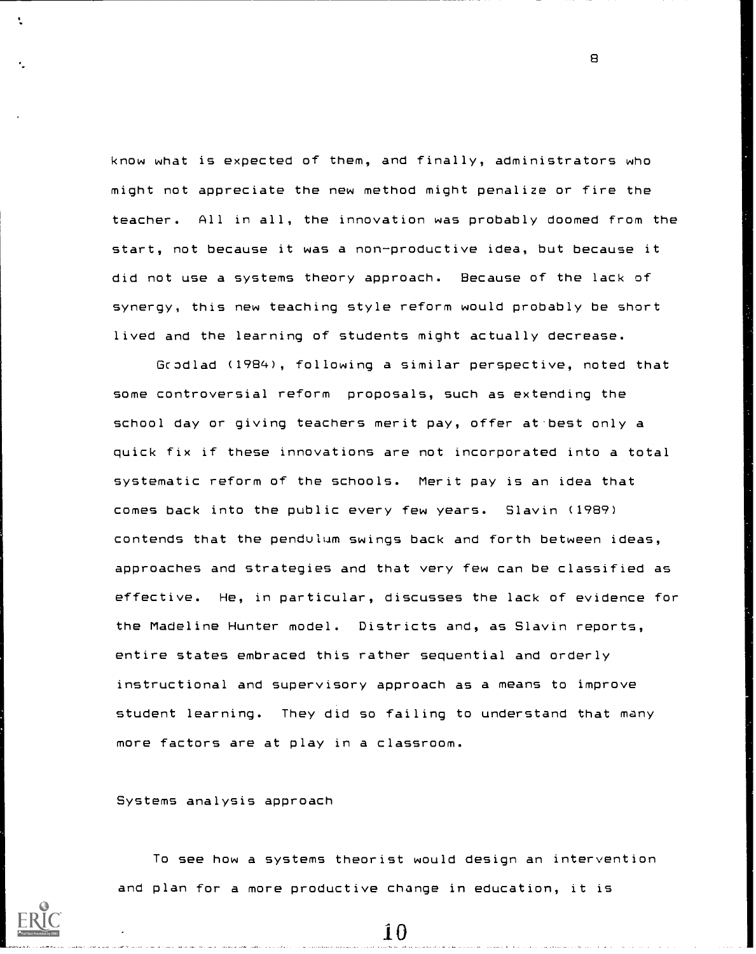know what is expected of them, and finally, administrators who might not appreciate the new method might penalize or fire the teacher. All in all, the innovation was probably doomed from the start, not because it was a non-productive idea, but because it did not use a systems theory approach. Because of the lack of synergy, this new teaching style reform would probably be short lived and the learning of students might actually decrease.

Gcodlad (1984), following a similar perspective, noted that some controversial reform proposals, such as extending the school day or giving teachers merit pay, offer at-best only a quick fix if these innovations are not incorporated into a total systematic reform of the schools. Merit pay is an idea that comes back into the public every few years. Slavin (1989) contends that the pendulum swings back and forth between ideas, approaches and strategies and that very few can be classified as effective. He, in particular, discusses the lack of evidence for the Madeline Hunter model. Districts and, as Slavin reports, entire states embraced this rather sequential and orderly instructional and supervisory approach as a means to improve student learning. They did so failing to understand that many more factors are at play in a classroom.

Systems analysis approach

To see how a systems theorist would design an intervention and plan for a more productive change in education, it is

10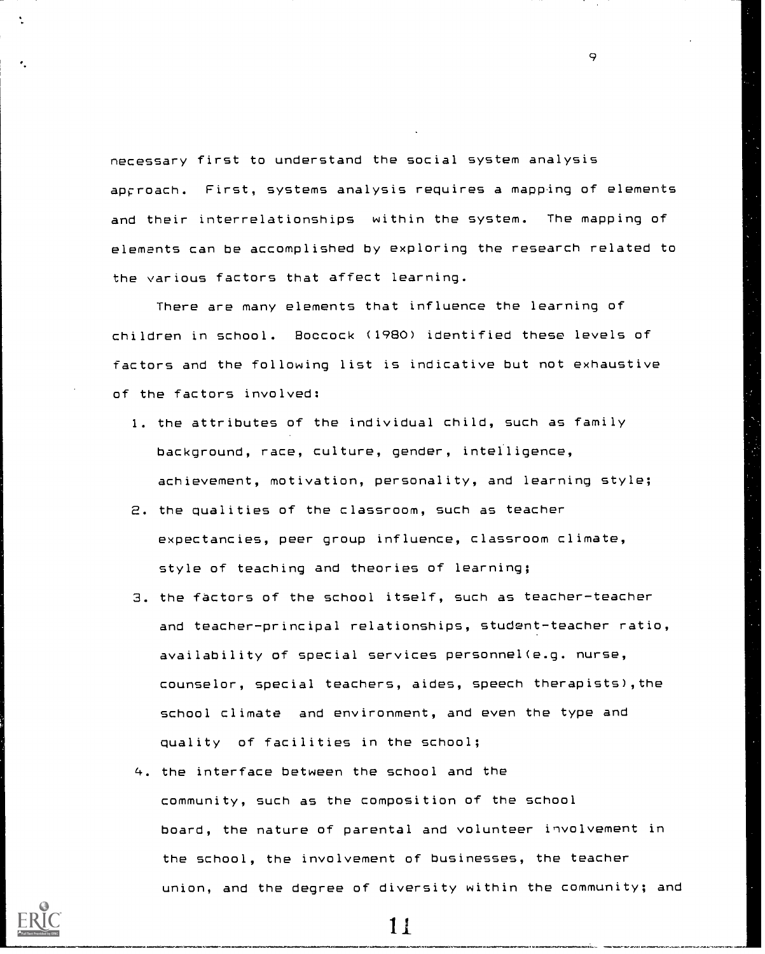necessary first to understand the social system analysis approach. First, systems analysis requires a mapping of elements and their interrelationships within the system. The mapping of elements can be accomplished by exploring the research related to the various factors that affect learning.

 $\circ$ 

There are many elements that influence the learning of children in school. Boccock (1980) identified these levels of factors and the following list is indicative but not exhaustive of the factors involved:

- 1. the attributes of the individual child, such as family background, race, culture, gender, intelligence, achievement, motivation, personality, and learning style;
- 2. the qualities of the classroom, such as teacher expectancies, peer group influence, classroom climate, style of teaching and theories of learning;
- 3. the factors of the school itself, such as teacher-teacher and teacher-principal relationships, student-teacher ratio, availability of special services personnel(e.g. nurse, counselor, special teachers, aides, speech therapists),the school climate and environment, and even the type and quality of facilities in the school;
- 4. the interface between the school and the community, such as the composition of the school board, the nature of parental and volunteer involvement in the school, the involvement of businesses, the teacher union, and the degree of diversity within the community; and

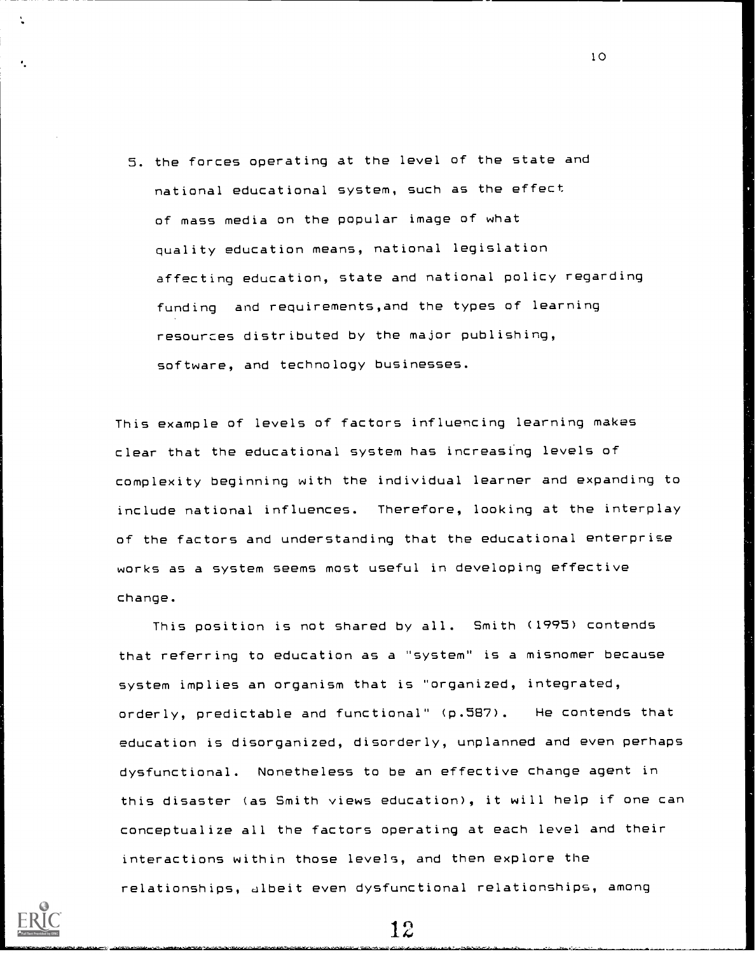5. the forces operating at the level of the state and national educational system, such as the effect of mass media on the popular image of what quality education means, national legislation affecting education, state and national policy regarding funding and requirements,and the types of learning resources distributed by the major publishing, software, and technology businesses.

This example of levels of factors influencing learning makes clear that the educational system has increasing levels of complexity beginning with the individual learner and expanding to include national influences. Therefore, looking at the interplay of the factors and understanding that the educational enterprise works as a system seems most useful in developing effective change.

This position is not shared by all. Smith (1995) contends that referring to education as a "system" is a misnomer because system implies an organism that is "organized, integrated, orderly, predictable and functional" (p.587). He contends that education is disorganized, disorderly, unplanned and even perhaps dysfunctional. Nonetheless to be an effective change agent in this disaster (as Smith views education), it will help if one can conceptualize all the factors operating at each level and their interactions within those levels, and then explore the relationships, albeit even dysfunctional relationships, among



12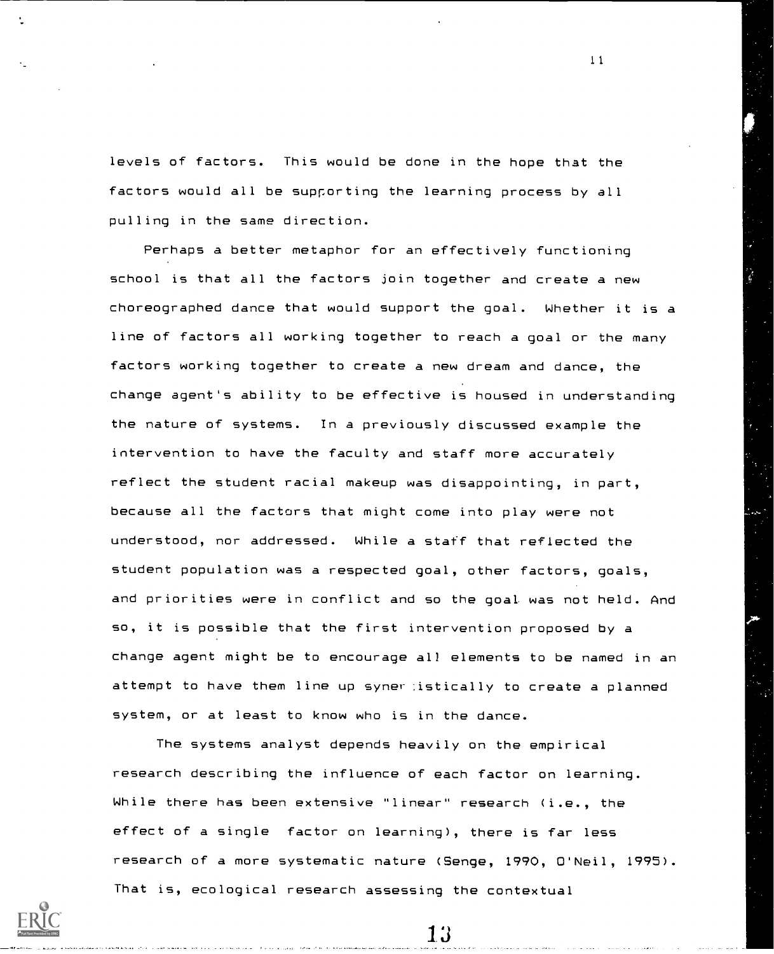levels of factors. This would be done in the hope that the factors would all be supporting the learning process by all pulling in the same direction.

Perhaps a better metaphor for an effectively functioning school is that all the factors join together and create a new choreographed dance that would support the goal. Whether it is a line of factors all working together to reach a goal or the many factors working together to create a new dream and dance, the change agent's ability to be effective is housed in understanding the nature of systems. In a previously discussed example the intervention to have the faculty and staff more accurately reflect the student racial makeup was disappointing, in part, because all the factors that might come into play were not understood, nor addressed. While a staff that reflected the student population was a respected goal, other factors, goals, and priorities were in conflict and so the goal was not held. And so, it is possible that the first intervention proposed by a change agent might be to encourage all elements to be named in an attempt to have them line up syner istically to create a planned system, or at least to know who is in the dance.

The systems analyst depends heavily on the empirical research describing the influence of each factor on learning. While there has been extensive "linear" research (i.e., the effect of a single factor on learning), there is far less research of a more systematic nature (Senge, 1990, O'Neil, 1995). That is, ecological research assessing the contextual

13

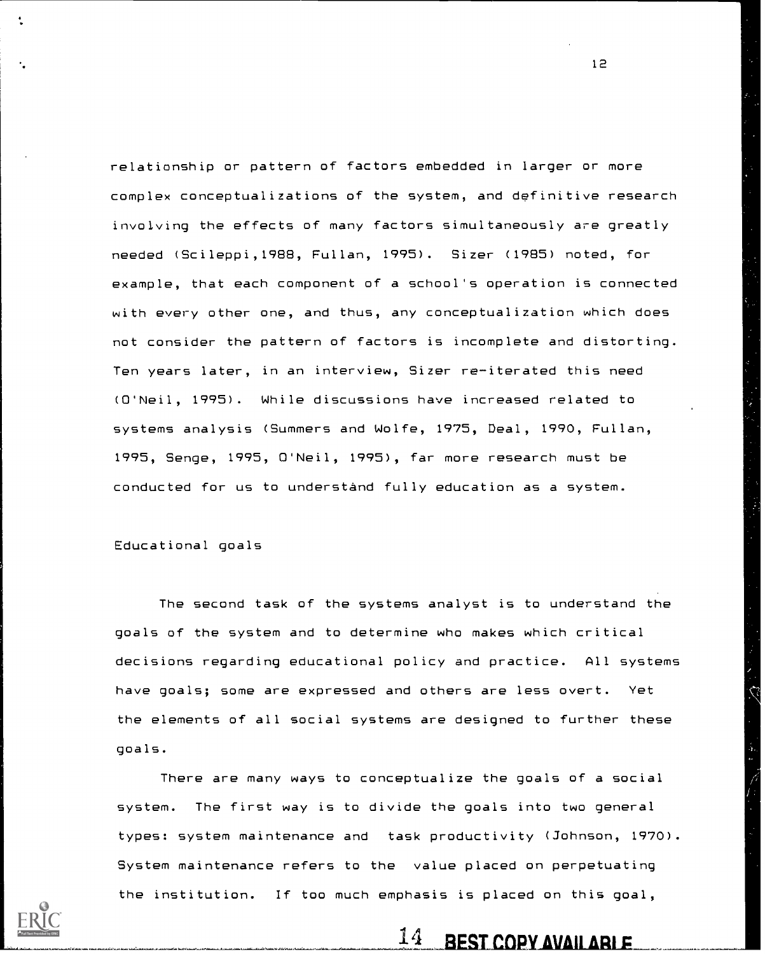relationship or pattern of factors embedded in larger or more complex conceptualizations of the system, and dpfinitive research involving the effects of many factors simultaneously are greatly needed (Scileppi,1988, Fullan, 1995). Sizer (1985) noted, for example, that each component of a school's operation is connected with every other one, and thus, any conceptualization which does not consider the pattern of factors is incomplete and distorting. Ten years later, in an interview, Sizer re-iterated this need (O'Neil, 1995). While discussions have increased related to systems analysis (Summers and Wolfe, 1975, Deal, 1990, Fullan, 1995, Senge, 1995, O'Neil, 1995), far more research must be conducted for us to understand fully education as a system.

Educational goals

The second task of the systems analyst is to understand the goals of the system and to determine who makes which critical decisions regarding educational policy and practice. All systems have goals; some are expressed and others are less overt. Yet the elements of all social systems are designed to further these goals.

There are many ways to conceptualize the goals of a social system. The first way is to divide the goals into two general types: system maintenance and task productivity (Johnson, 1970). System maintenance refers to the value placed on perpetuating the institution. If too much emphasis is placed on this goal,

 $14$  BEST COPY AVAILARLE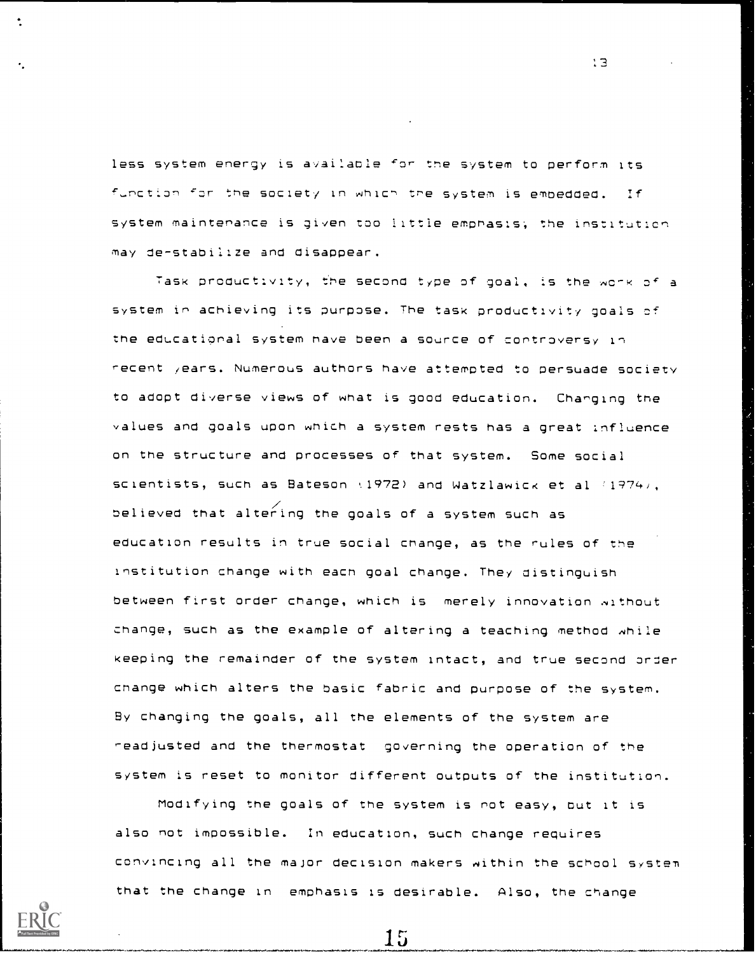less system energy is available 'or the system to perform its function for the society in which the system is embedded. If system maintenance is given too little emphasis; the instituticn may de-stabilize and disappear.

Task productivity, t'he second type of goal, is the work of a system in achieving its purpose. The task productivity goals cf the educational system nave been a source of controversy in recent /ears. Numerous authors have attempted to persuade society to adopt diverse views of what is good education. Changing the values and goals upon which a system rests has a great influence on the structure and processes of that system. Some social scientists, such as Bateson  $(1972)$  and Watzlawick et al  $(1974)$ , believed that altering the goals of a system such as education results in true social change, as the rules of the Institution change with each goal change. They distinguish between first order change, which is merely innovation without change, such as the example of altering a teaching method while keeping the remainder of the system intact, and true second order change which alters the basic fabric and purpose of the system. By changing the goals, all the elements of the system are readjusted and the thermostat governing the operation of the system is reset to monitor different outputs of the institution.

Modifying the goals of tne system is not easy, but it is also not impossible. In education, such change requires convincing all the major decision makers within the school system that the change in emphasis is desirable. Also, the change

15

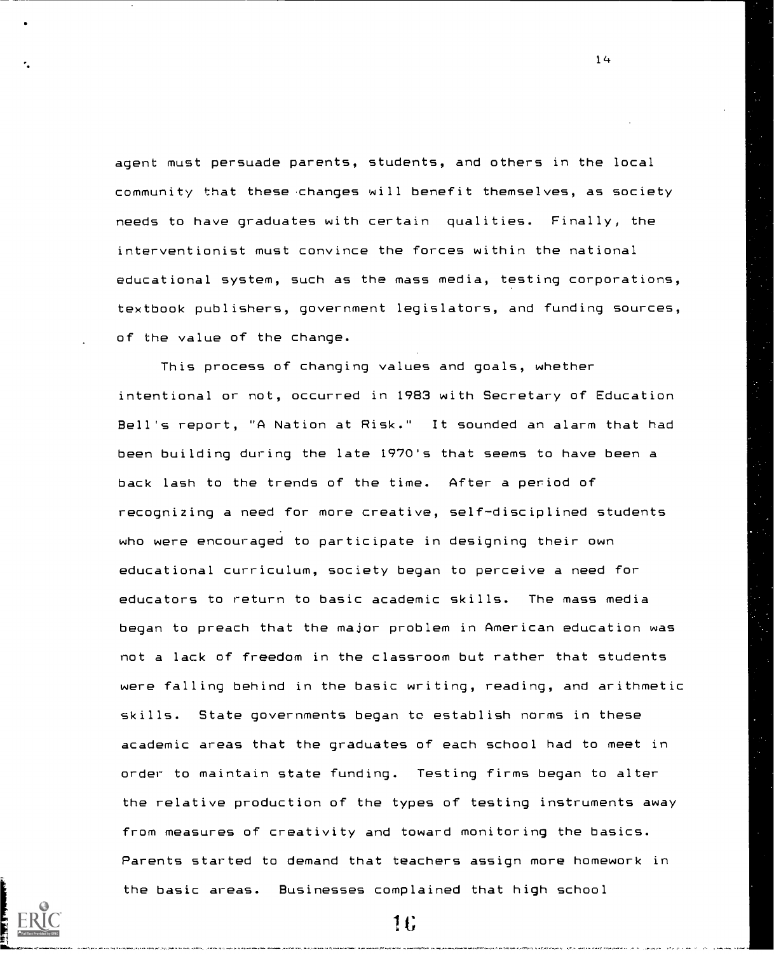agent must persuade parents, students, and others in the local community that these .changes will benefit themselves, as society needs to have graduates with certain qualities. Finally, the interventionist must convince the forces within the national educational system, such as the mass media, testing corporations, textbook publishers, government legislators, and funding sources, of the value of the change.

1 4

This process of changing values and goals, whether intentional or not, occurred in 1983 with Secretary of Education Bell's report, "A Nation at Risk." It sounded an alarm that had been building during the late 1970's that seems to have been a back lash to the trends of the time. After a period of recognizing a need for more creative, self-disciplined students who were encouraged to participate in designing their own educational curriculum, society began to perceive a need for educators to return to basic academic skills. The mass media began to preach that the major problem in American education was not a lack of freedom in the classroom but rather that students were falling behind in the basic writing, reading, and arithmetic skills. State governments began to establish norms in these academic areas that the graduates of each school had to meet in order to maintain state funding. Testing firms began to alter the relative production of the types of testing instruments away from measures of creativity and toward monitoring the basics. Parents started to demand that teachers assign more homework in the basic areas. Businesses complained that high school



lt;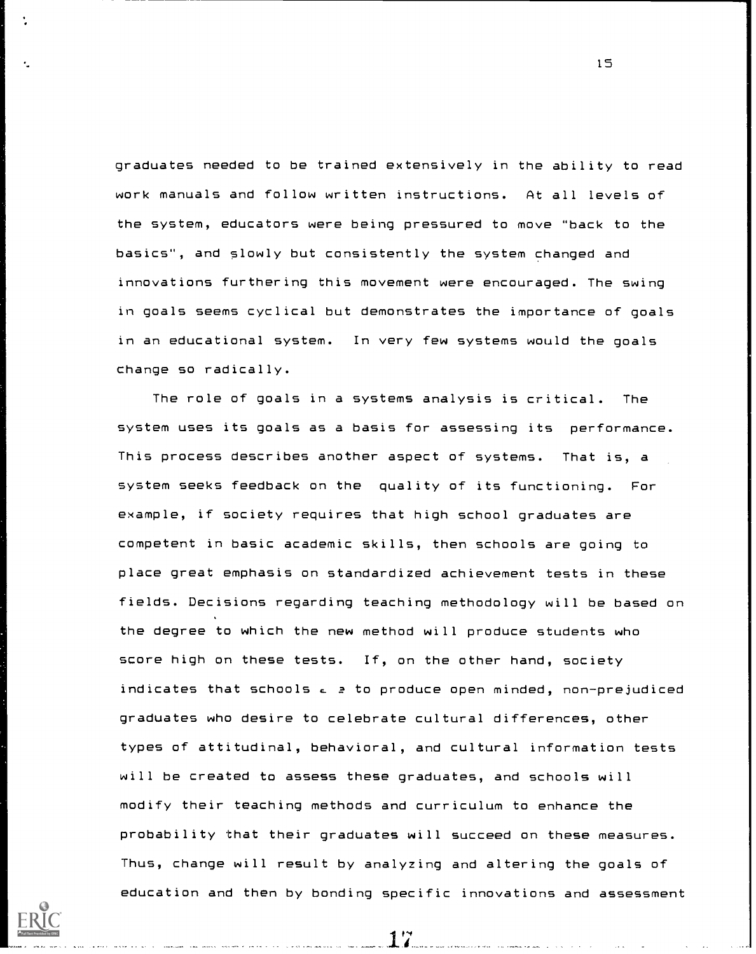graduates needed to be trained extensively in the ability to read work manuals and follow written instructions. At all levels of the system, educators were being pressured to move "back to the basics", and slowly but consistently the system changed and innovations furthering this movement were encouraged. The swing in goals seems cyclical but demonstrates the importance of goals in an educational system. In very few systems would the goals change so radically.

The role of goals in a systems analysis is critical. The system uses its goals as a basis for assessing its performance. This process describes another aspect of systems. That is, a system seeks feedback on the quality of its functioning. For example, if society requires that high school graduates are competent in basic academic skills, then schools are going to place great emphasis on standardized achievement tests in these fields. Decisions regarding teaching methodology will be based on the degree to which the new method will produce students who score high on these tests. If, on the other hand, society indicates that schools  $c \geq t$  to produce open minded, non-prejudiced graduates who desire to celebrate cultural differences, other types of attitudinal, behavioral, and cultural information tests will be created to assess these graduates, and schools will modify their teaching methods and curriculum to enhance the probability that their graduates will succeed on these measures. Thus, change will result by analyzing and altering the goals of education and then by bonding specific innovations and assessment

17

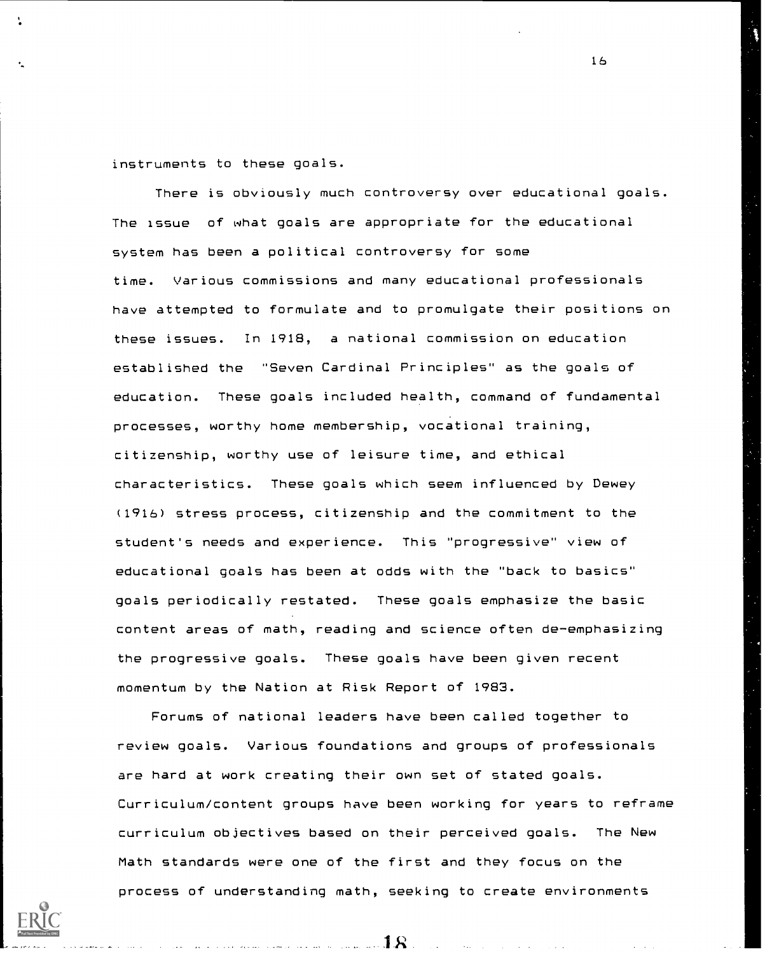instruments to these goals.

There is obviously much controversy over educational goals. The issue of what goals are appropriate for the educational system has been a political controversy for some time. Various commissions and many educational professionals have attempted to formulate and to promulgate their positions on these issues. In 1918, a national commission on education established the "Seven Cardinal Principles" as the goals of education. These goals included health, command of fundamental processes, worthy home membership, vocational training, citizenship, worthy use of leisure time, and ethical characteristics. These goals which seem influenced by Dewey (1916) stress process, citizenship and the commitment to the student's needs and experience. This "progressive" view of educational goals has been at odds with the "back to basics" goals periodically restated. These goals emphasize the basic content areas of math, reading and science often de-emphasizing the progressive goals. These goals have been given recent momentum by the Nation at Risk Report of 1983.

Forums of national leaders have been called together to review goals. Various foundations and groups of professionals are hard at work creating their own set of stated goals. Curriculum/content groups have been working for years to reframe curriculum objectives based on their perceived goals. The New Math standards were one of the first and they focus on the process of understanding math, seeking to create environments



16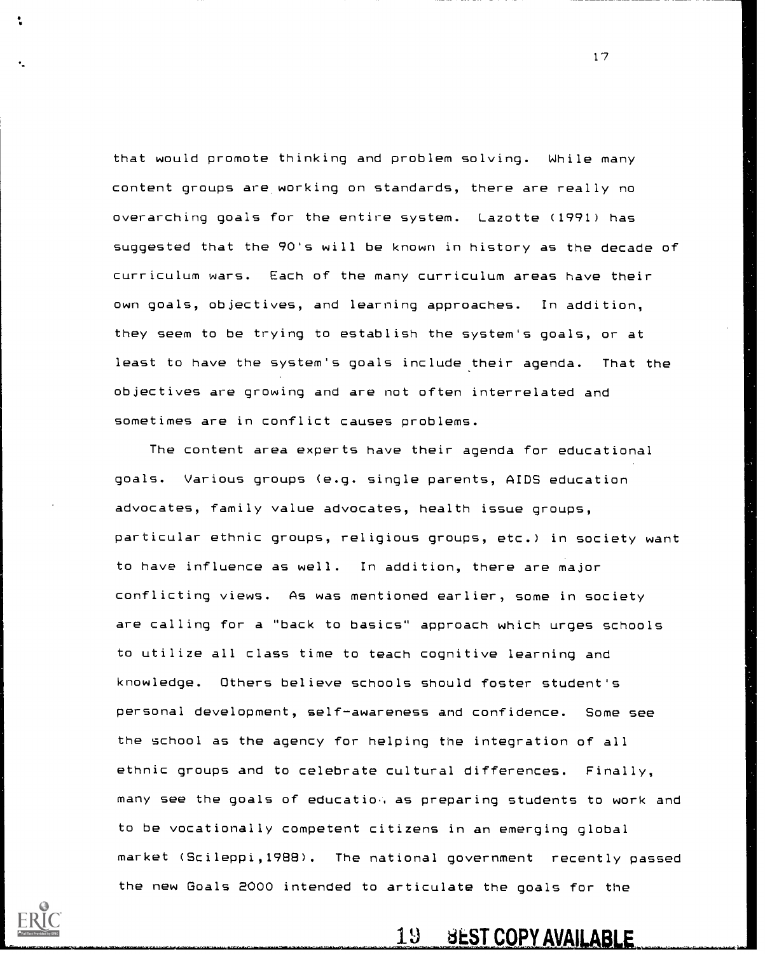that would promote thinking and problem solving. While many content groups are working on standards, there are really no overarching goals for the entire system. Lazotte (1991) has suggested that the 90's will be known in history as the decade of curriculum wars. Each of the many curriculum areas have their own goals, objectives, and learning approaches. In addition, they seem to be trying to establish the system's goals, or at least to have the system's goals include their agenda. That the objectives are growing and are not often interrelated and sometimes are in conflict causes problems.

The content area experts have their agenda for educational goals. Various groups (e.g. single parents, AIDS education advocates, family value advocates, health issue groups, particular ethnic groups, religious groups, etc.) in society want to have influence as well. In addition, there are major conflicting views. As was mentioned earlier, some in society are calling for a "back to basics" approach which urges schools to utilize all class time to teach cognitive learning and knowledge. Others believe schools should foster student's personal development, self-awareness and confidence. Some see the school as the agency for helping the integration of all ethnic groups and to celebrate cultural differences. Finally, many see the goals of educatio, as preparing students to work and to be vocationally competent citizens in an emerging global market (Scileppi,1988). The national government recently passed the new Goals 2000 intended to articulate the goals for the



19 BEST COPY AVAILABLE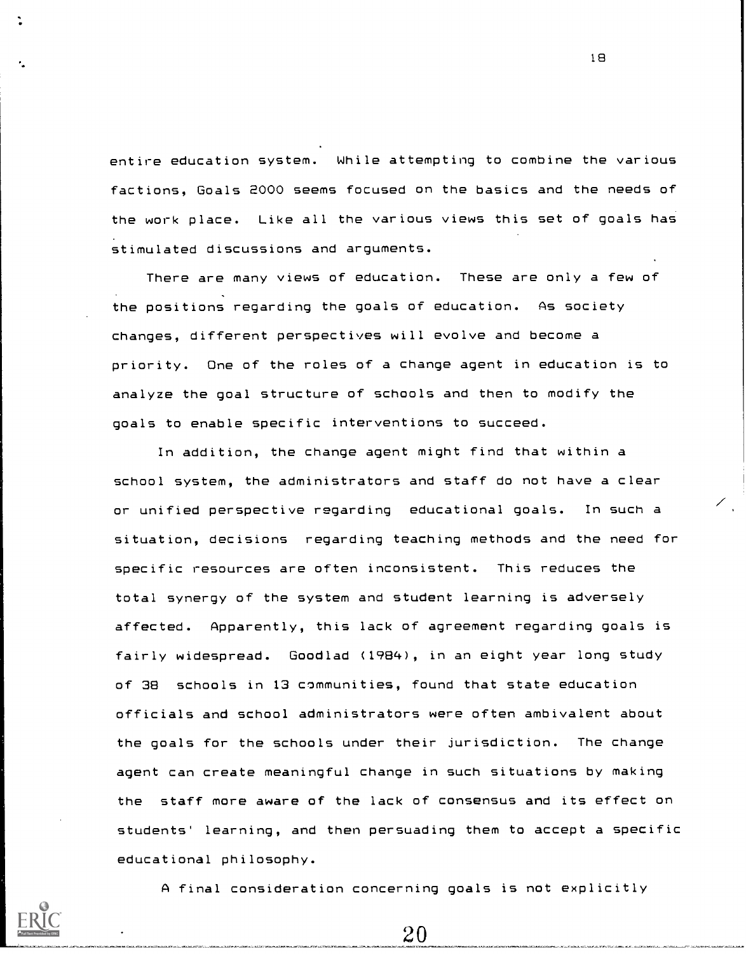entire education system. While attempting to combine the various factions, Goals 2000 seems focused on the basics and the needs of the work place. Like all the various views this set of goals has stimulated discussions and arguments.

There are many views of education. These are only a few of the positions regarding the goals of education. As society changes, different perspectives will evolve and become a priority. One of the roles of a change agent in education is to analyze the goal structure of schools and then to modify the goals to enable specific interventions to succeed.

In addition, the change agent might find that within a school system, the administrators and staff do not have a clear or unified perspective regarding educational goals. In such a situation, decisions regarding teaching methods and the need for specific resources are often inconsistent. This reduces the total synergy of the system and student learning is adversely affected. Apparently, this lack of agreement regarding goals is fairly widespread. Goodlad (1984), in an eight year long study of 38 schools in 13 communities, found that state education officials and school administrators were often ambivalent about the goals for the schools under their jurisdiction. The change agent can create meaningful change in such situations by making the staff more aware of the lack of consensus and its effect on students' learning, and then persuading them to accept a specific educational philosophy.



 $20\,$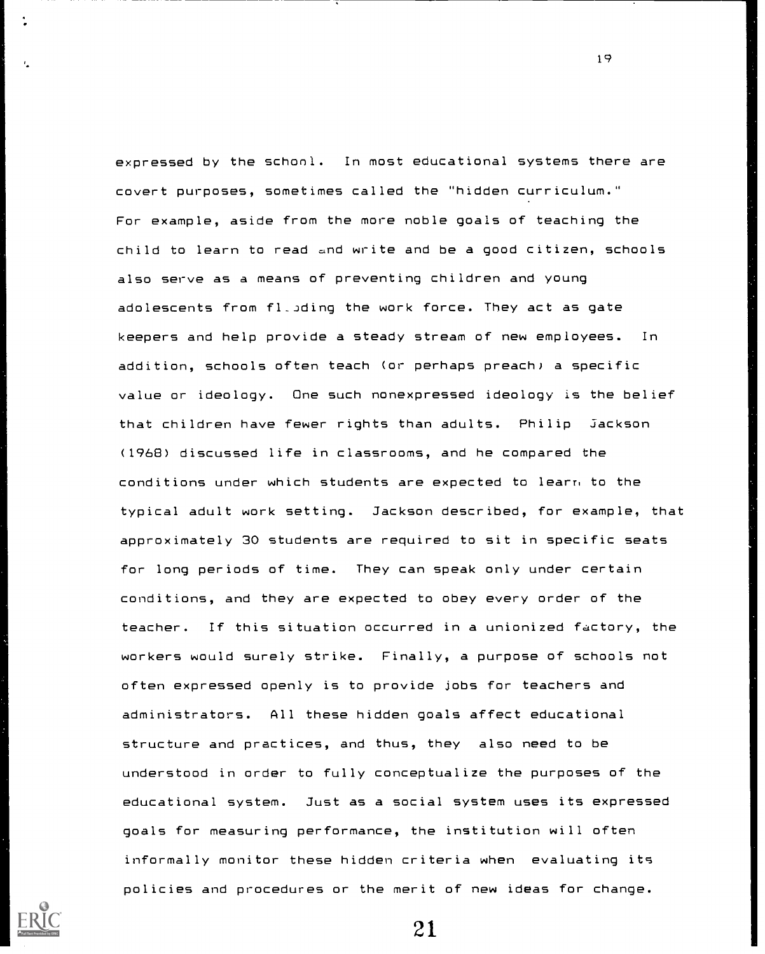expressed by the schonl. In most educational systems there are covert purposes, sometimes called the "hidden curriculum." For example, aside from the more noble goals of teaching the child to learn to read and write and be a good citizen, schools also serve as a means of preventing children and young adolescents from fl\_Jding the work force. They act as gate keepers and help provide a steady stream of new employees. In addition, schools often teach (or perhaps preach) a specific value or ideology. One such nonexpressed ideology is the belief that children have fewer rights than adults. Philip Jackson (1968) discussed life in classrooms, and he compared the conditions under which students are expected to learn to the typical adult work setting. Jackson described, for example, that approximately 30 students are required to sit in specific seats for long periods of time. They can speak only under certain conditions, and they are expected to obey every order of the teacher. If this situation occurred in a unionized factory, the workers would surely strike. Finally, a purpose of schools not often expressed openly is to provide jobs for teachers and administrators. All these hidden goals affect educational structure and practices, and thus, they also need to be understood in order to fully conceptualize the purposes of the educational system. Just as a social system uses its expressed goals for measuring performance, the institution will often informally monitor these hidden criteria when evaluating its policies and procedures or the merit of new ideas for change.



21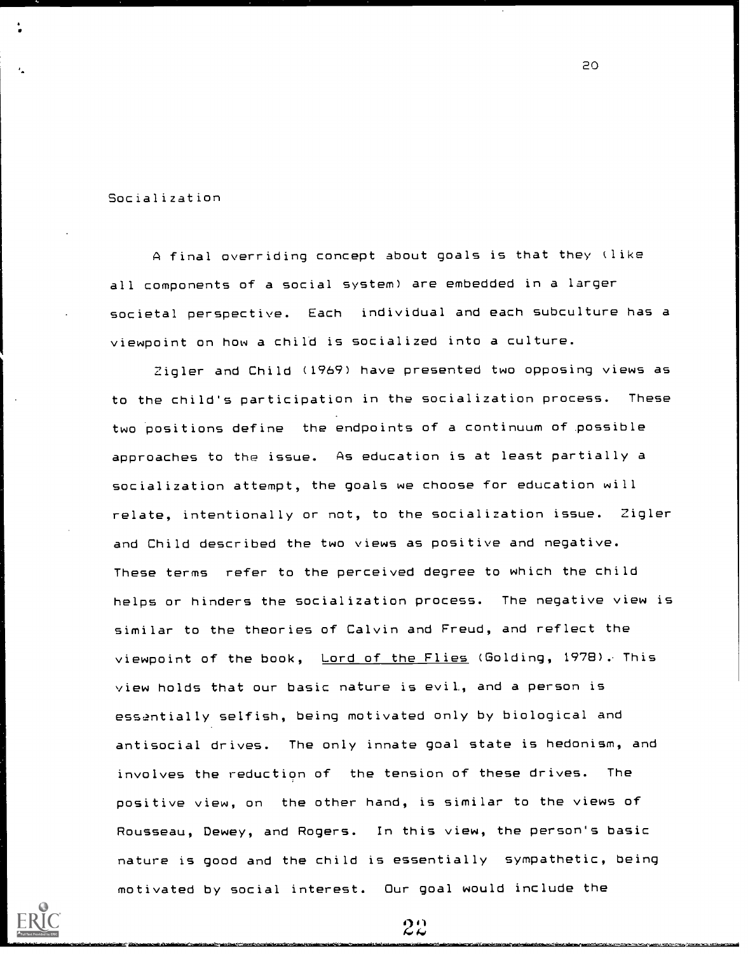Socialization

A final overriding concept about goals is that they (like all components of a social system) are embedded in a larger societal perspective. Each individual and each subculture has a viewpoint on how a child is socialized into a culture.

20

Zigler and Child (1969) have presented two opposing views as to the child's participation in the socialization process. These two positions define the endpoints of a continuum of possible approaches to the issue. As education is at least partially a socialization attempt, the goals we choose for education will relate, intentionally or not, to the socialization issue. Zigler and Child described the two views as positive and negative. These terms refer to the perceived degree to which the child helps or hinders the socialization process. The negative view is similar to the theories of Calvin and Freud, and reflect the viewpoint of the book, Lord of the Flies (Golding, 1978). This view holds that our basic nature is evil., and a person is essentially selfish, being motivated only by biological and antisocial drives. The only innate goal state is hedonism, and involves the reduction of the tension of these drives. The positive view, on the other hand, is similar to the views of Rousseau, Dewey, and Rogers. In this view, the person's basic nature is good and the child is essentially sympathetic, being motivated by social interest. Our goal would include the

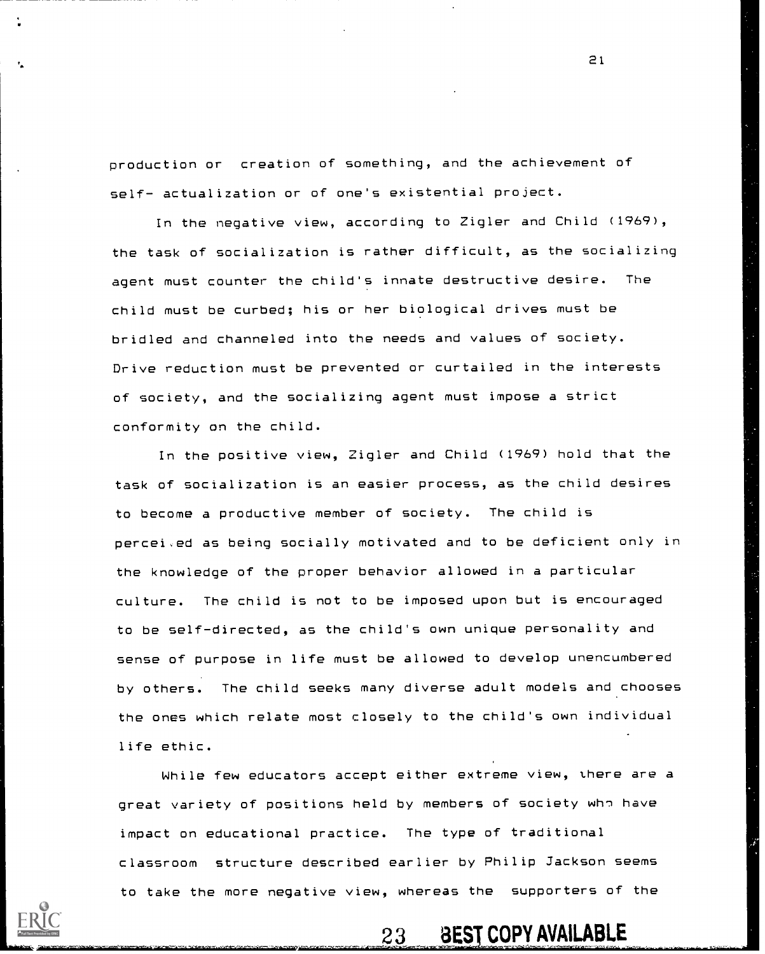production or creation of something, and the achievement of self- actualization or of one's existential project.

In the negative view, according to Zigler and Child (1969), the task of socialization is rather difficult, as the socializing agent must counter the child's innate destructive desire. The child must be curbed; his or her biological drives must be bridled and channeled into the needs and values of society. Drive reduction must be prevented or curtailed in the interests of society, and the socializing agent must impose a strict conformity on the child.

In the positive view, Zigler and Child (1969) hold that the task of socialization is an easier process, as the child desires to become a productive member of society. The child is percei,ed as being socially motivated and to be deficient only in the knowledge of the proper behavior allowed in a particular culture. The child is not to be imposed upon but is encouraged to be self-directed, as the child's own unique personality and sense of purpose in life must be allowed to develop unencumbered by others. The child seeks many diverse adult models and chooses the ones which relate most closely to the child's own individual life ethic.

While few educators accept either extreme view, there are a great variety of positions held by members of society who have impact on educational practice. The type of traditional classroom structure described earlier by Philip Jackson seems to take the more negative view, whereas the supporters of the

23 BEST COPY AVAILABLE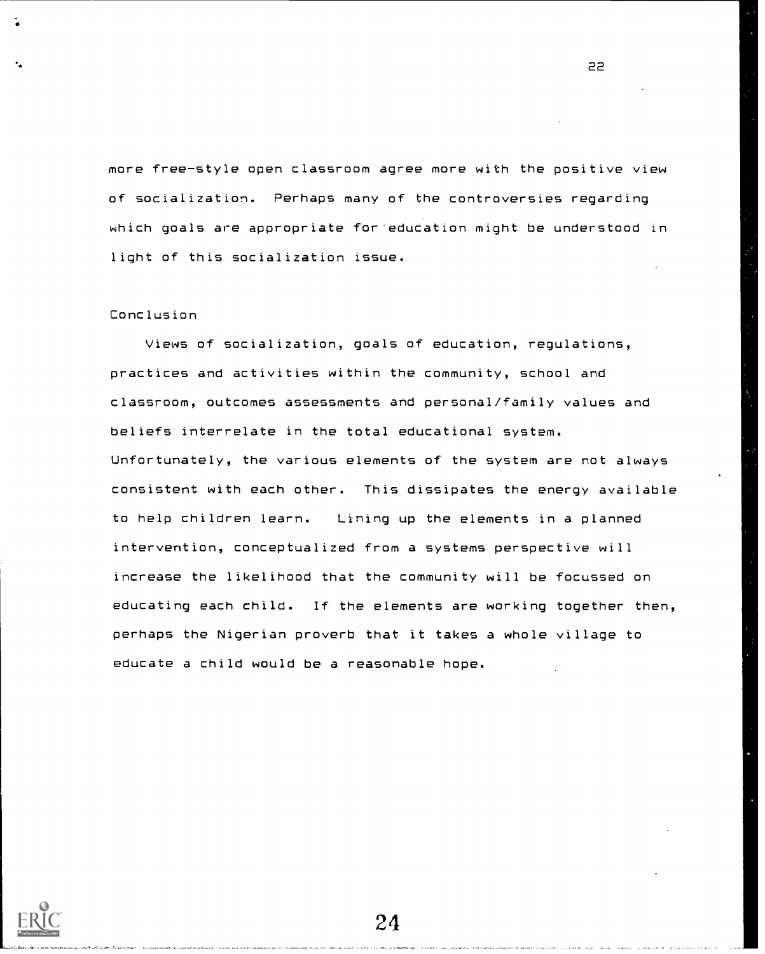more free-style open classroom agree more with the positive view of socialization. Perhaps many of the controversies regarding which goals are appropriate for'education might be understood in light of this socialization issue.

22

# Conclusion

 $\mathbf{G}=\mathbf{G}$ 

Views of socialization, goals of education, regulations, practices and activities within the community, school and classroom, outcomes assessments and personal/family values and beliefs interrelate in the total educational system. Unfortunately, the various elements of the system are not always consistent with each other. This dissipates the energy available to help children learn. Lining up the elements in a planned intervention, conceptualized from a systems perspective will increase the likelihood that the community will be focussed on educating each child. If the elements are working together then, perhaps the Nigerian proverb that it takes a whole village to educate a child would be a reasonable hope.

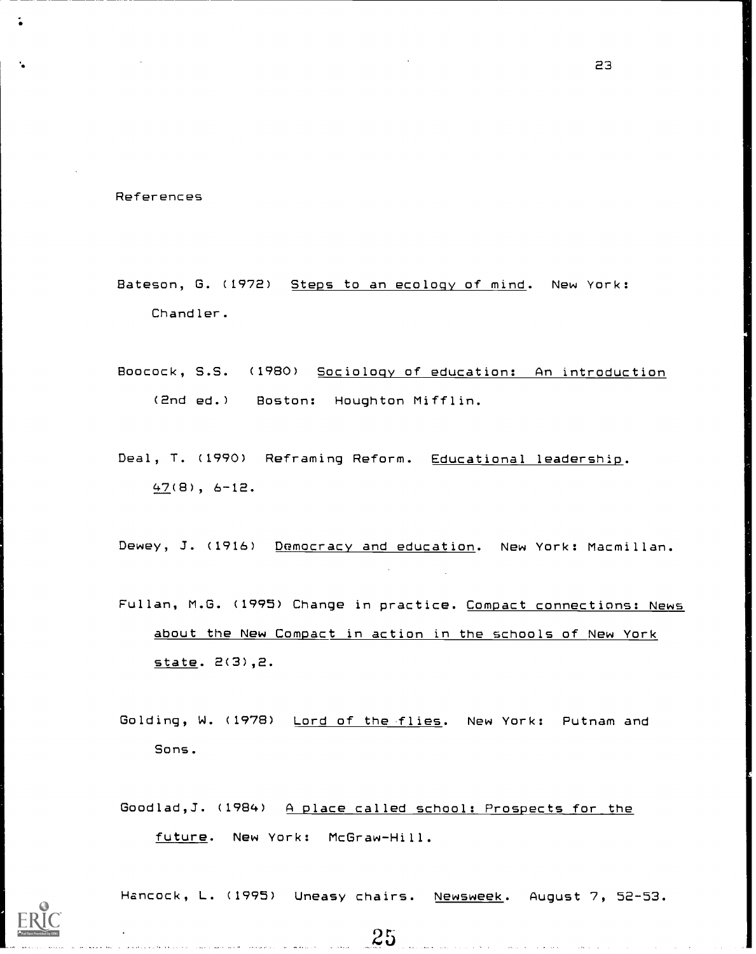References

- Bateson, G. (1972) Steps to an ecology of mind. New York: Chandler.
- Boocock, S.S. (1980) Sociology of education: An introduction (2nd ed.) Boston: Houghton Mifflin.
- Deal, T. (1990) Reframing Reform. Educational leadership. 47(8), 6-12.

Dewey, J. (1916) Democracy and education. New York: Macmillan.

- Fullan, M.G. (1995) Change in practice. Compact connections: News about the New Compact in action in the schools of New York state. 2(3),2.
- Golding, W. (1978) Lord of the flies. New York: Putnam and Sons.

Goodlad,J. (1984) A place called school: Prospects for the future. New York: McGraw-Hill.

 $25$ 

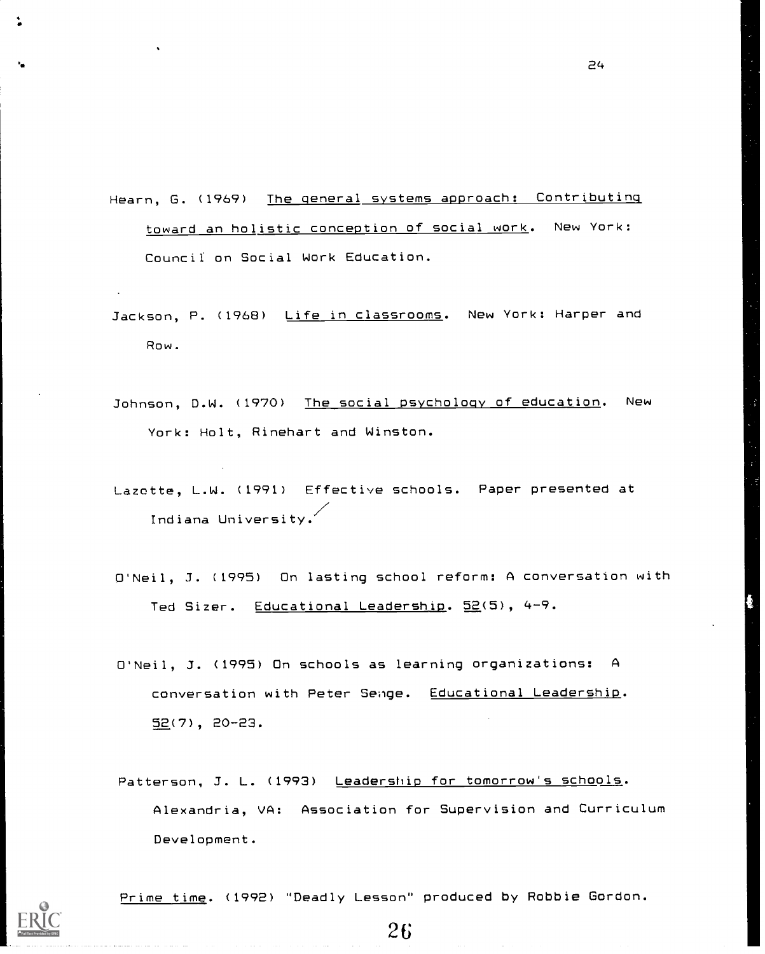Hearn, G. (1969) The general systems approach: Contributing toward an holistic conception of social work. New York: Council: on Social Work Education.

- Jackson, P. (1968) Life in classrooms. New York: Harper and Row.
- Johnson, D.W. (1970) The social psychology of education. New York: Holt, Rinehart and Winston.
- Lazotte, L.W. (1991) Effective schools. Paper presented at Indiana University.
- O'Neil, J. (1995) On lasting school reform: A conversation with Ted Sizer. Educational Leadership. 52(5), 4-9.
- O'Neil, J. (1995) On schools as learning organizations: A conversation with Peter Senge. Educational Leadership. 52(7), 20-23.
- Patterson, J. L. (1993) Leadership for tomorrow's schools. Alexandria, VA: Association for Supervision and Curriculum Development.



Prime time. (1992) "Deadly Lesson" produced by Robbie Gordon.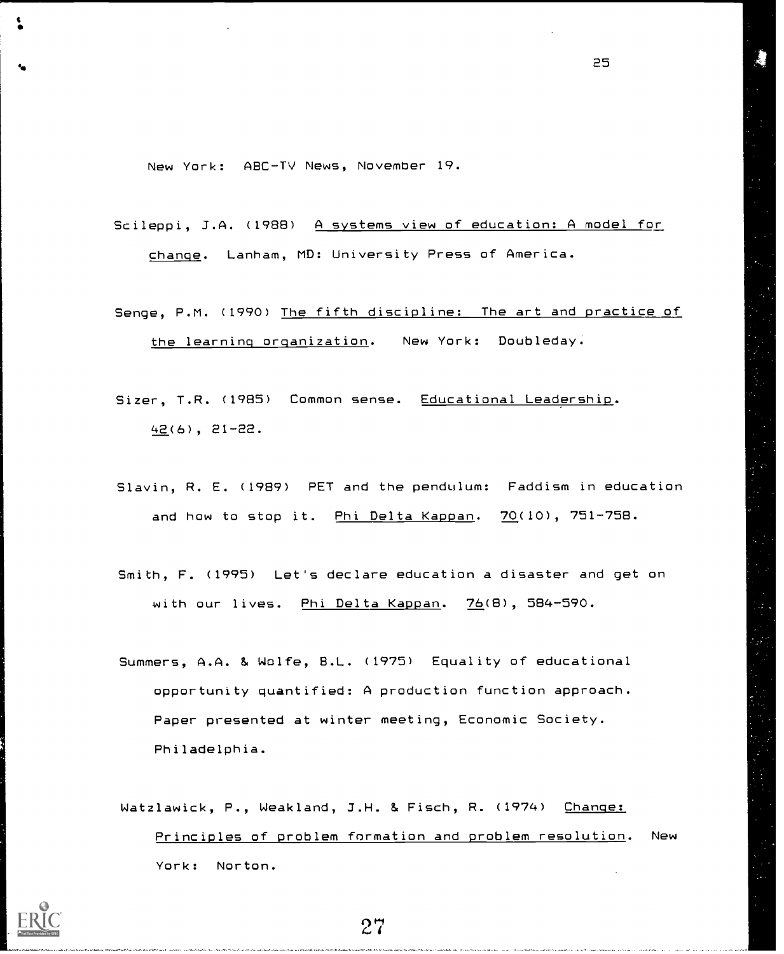New York: ABC-TV News, November 19.

Scileppi, 3.A. (1988) A systems view of education: A model for change. Lanham, MD: University Press of America.

Senge, P.M. (1990) The fifth discipline: The art and practice of the learning orqanization. New York: Doubleday.

Sizer, T.R. (1985) Common sense. Educational Leadership. 42(6), 21-22.

Slavin, R. E. (1989) PET and the pendulum: Faddism in education and how to stop it. Phi Delta Kappan. 70(10), 751-758.

Smith, F. (1995) Let's declare education a disaster and get on with our lives. Phi Delta Kappan. 76(8), 584-590.

Summers, A.A. & Wolfe, B.L. (1975) Equality of educational opportunity quantified: A production function approach. Paper presented at winter meeting, Economic Society. Philadelphia.

Watzlawick, P., Weakland, J.H. & Fisch, R. (1974) Change: Principles of problem formation and problem resolution. New York: Norton.